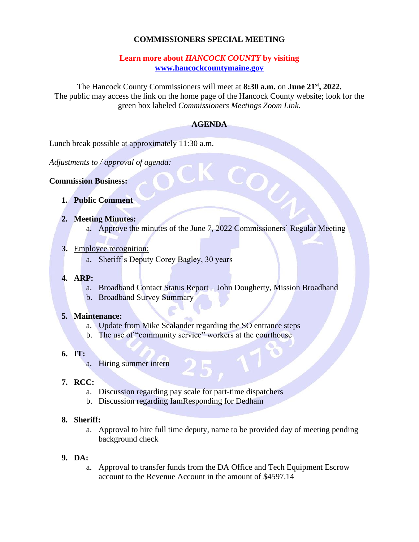# **COMMISSIONERS SPECIAL MEETING**

### **Learn more about** *HANCOCK COUNTY* **by visiting [www.hancockcountymaine.gov](http://www.hancockcountymaine.gov/)**

The Hancock County Commissioners will meet at **8:30 a.m.** on **June 21st , 2022.** The public may access the link on the home page of the Hancock County website; look for the green box labeled *Commissioners Meetings Zoom Link*.

### **AGENDA**

Lunch break possible at approximately 11:30 a.m.

*Adjustments to / approval of agenda:*

**Commission Business:**

- **1. Public Comment**
- **2. Meeting Minutes:**
	- a. Approve the minutes of the June 7, 2022 Commissioners' Regular Meeting

COU

- **3.** Employee recognition:
	- a. Sheriff's Deputy Corey Bagley, 30 years
- **4. ARP:**
	- a. Broadband Contact Status Report John Dougherty, Mission Broadband
	- b. Broadband Survey Summary

#### **5. Maintenance:**

- a. Update from Mike Sealander regarding the SO entrance steps
- b. The use of "community service" workers at the courthouse

# **6. IT:**

a. Hiring summer intern

# **7. RCC:**

- a. Discussion regarding pay scale for part-time dispatchers
- b. Discussion regarding IamResponding for Dedham

#### **8. Sheriff:**

- a. Approval to hire full time deputy, name to be provided day of meeting pending background check
- **9. DA:**
	- a. Approval to transfer funds from the DA Office and Tech Equipment Escrow account to the Revenue Account in the amount of \$4597.14